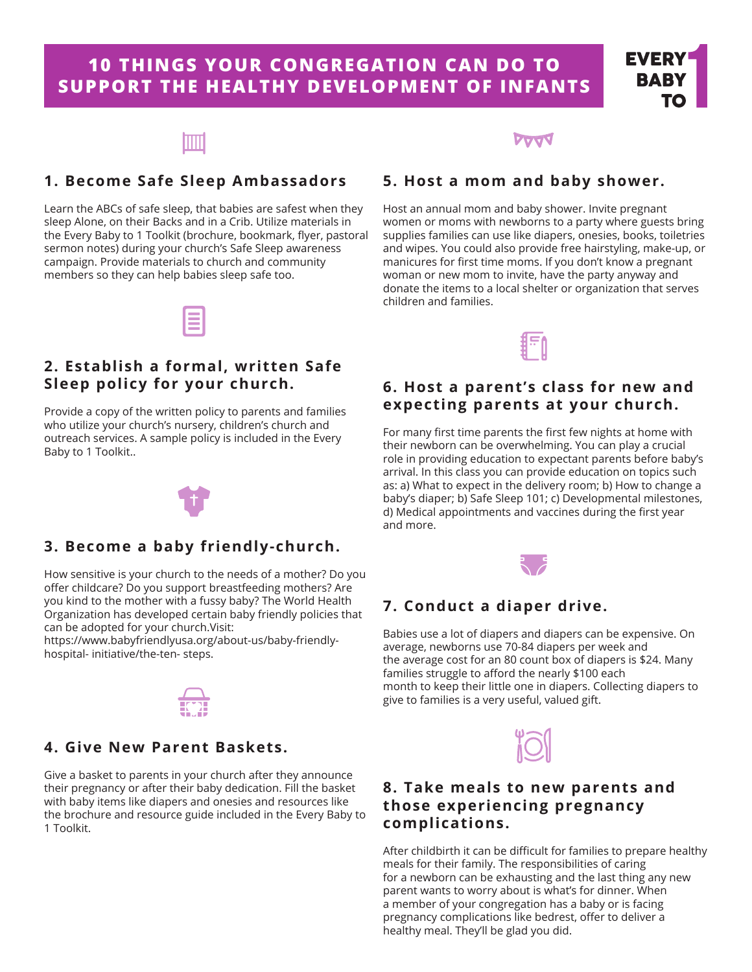# **10 THINGS YOUR CONGREGATION CAN DO TO SUPPORT THE HEALTHY DEVELOPMENT OF INFANTS**



#### **1. Become Safe Sleep Ambassadors**

Learn the ABCs of safe sleep, that babies are safest when they sleep Alone, on their Backs and in a Crib. Utilize materials in the Every Baby to 1 Toolkit (brochure, bookmark, flyer, pastoral sermon notes) during your church's Safe Sleep awareness campaign. Provide materials to church and community members so they can help babies sleep safe too.

### **5. Host a mom and baby shower.**

Host an annual mom and baby shower. Invite pregnant women or moms with newborns to a party where guests bring supplies families can use like diapers, onesies, books, toiletries and wipes. You could also provide free hairstyling, make-up, or manicures for first time moms. If you don't know a pregnant woman or new mom to invite, have the party anyway and donate the items to a local shelter or organization that serves children and families.



#### **6. Host a parent's class for new and expecting parents at your church.**

For many first time parents the first few nights at home with their newborn can be overwhelming. You can play a crucial role in providing education to expectant parents before baby's arrival. In this class you can provide education on topics such as: a) What to expect in the delivery room; b) How to change a baby's diaper; b) Safe Sleep 101; c) Developmental milestones, d) Medical appointments and vaccines during the first year and more.



#### **7. Conduct a diaper drive.**

Babies use a lot of diapers and diapers can be expensive. On average, newborns use 70-84 diapers per week and the average cost for an 80 count box of diapers is \$24. Many families struggle to afford the nearly \$100 each month to keep their little one in diapers. Collecting diapers to give to families is a very useful, valued gift.



#### **8. Take meals to new parents and those experiencing pregnancy complications.**

After childbirth it can be difficult for families to prepare healthy meals for their family. The responsibilities of caring for a newborn can be exhausting and the last thing any new parent wants to worry about is what's for dinner. When a member of your congregation has a baby or is facing pregnancy complications like bedrest, offer to deliver a healthy meal. They'll be glad you did.

# **2. Establish a formal, written Safe**

**Sleep policy for your church.**

Provide a copy of the written policy to parents and families who utilize your church's nursery, children's church and outreach services. A sample policy is included in the Every Baby to 1 Toolkit..



#### **3. Become a baby friendly-church.**

How sensitive is your church to the needs of a mother? Do you offer childcare? Do you support breastfeeding mothers? Are you kind to the mother with a fussy baby? The World Health Organization has developed certain baby friendly policies that can be adopted for your church.Visit:

https://www.babyfriendlyusa.org/about-us/baby-friendlyhospital- initiative/the-ten- steps.



#### **4. Give New Parent Baskets.**

Give a basket to parents in your church after they announce their pregnancy or after their baby dedication. Fill the basket with baby items like diapers and onesies and resources like the brochure and resource guide included in the Every Baby to 1 Toolkit.